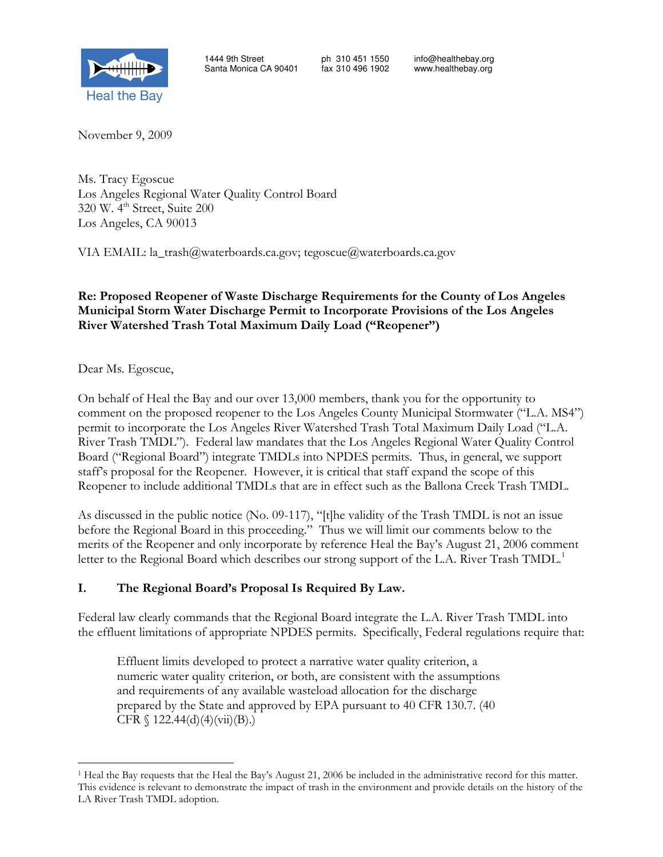

November 9, 2009

Ms. Tracy Egoscue Los Angeles Regional Water Quality Control Board 320 W. 4<sup>th</sup> Street, Suite 200 Los Angeles, CA 90013

VIA EMAIL: la\_trash@waterboards.ca.gov; tegoscue@waterboards.ca.gov

#### Re: Proposed Reopener of Waste Discharge Requirements for the County of Los Angeles Municipal Storm Water Discharge Permit to Incorporate Provisions of the Los Angeles River Watershed Trash Total Maximum Daily Load ("Reopener")

Dear Ms. Egoscue,

 $\overline{a}$ 

On behalf of Heal the Bay and our over 13,000 members, thank you for the opportunity to comment on the proposed reopener to the Los Angeles County Municipal Stormwater ("L.A. MS4") permit to incorporate the Los Angeles River Watershed Trash Total Maximum Daily Load ("L.A. River Trash TMDL"). Federal law mandates that the Los Angeles Regional Water Quality Control Board ("Regional Board") integrate TMDLs into NPDES permits. Thus, in general, we support staff's proposal for the Reopener. However, it is critical that staff expand the scope of this Reopener to include additional TMDLs that are in effect such as the Ballona Creek Trash TMDL.

As discussed in the public notice (No. 09-117), "[t]he validity of the Trash TMDL is not an issue before the Regional Board in this proceeding." Thus we will limit our comments below to the merits of the Reopener and only incorporate by reference Heal the Bay's August 21, 2006 comment letter to the Regional Board which describes our strong support of the L.A. River Trash TMDL.<sup>1</sup>

#### I. The Regional Board's Proposal Is Required By Law.

Federal law clearly commands that the Regional Board integrate the L.A. River Trash TMDL into the effluent limitations of appropriate NPDES permits. Specifically, Federal regulations require that:

Effluent limits developed to protect a narrative water quality criterion, a numeric water quality criterion, or both, are consistent with the assumptions and requirements of any available wasteload allocation for the discharge prepared by the State and approved by EPA pursuant to 40 CFR 130.7. (40 CFR  $\{ 122.44(d)(4)(vii)(B) . \}$ 

<sup>1</sup> Heal the Bay requests that the Heal the Bay's August 21, 2006 be included in the administrative record for this matter. This evidence is relevant to demonstrate the impact of trash in the environment and provide details on the history of the LA River Trash TMDL adoption.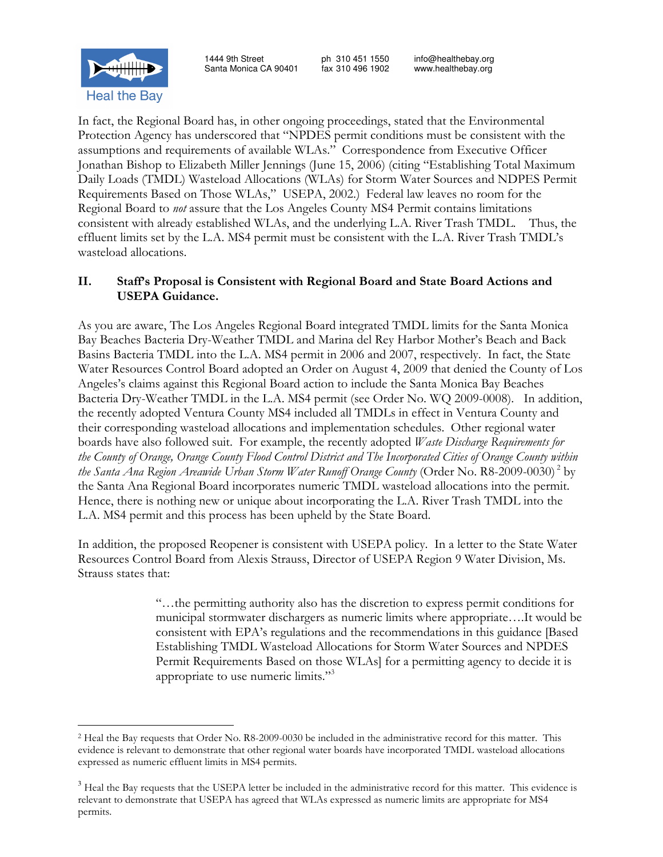

In fact, the Regional Board has, in other ongoing proceedings, stated that the Environmental Protection Agency has underscored that "NPDES permit conditions must be consistent with the assumptions and requirements of available WLAs." Correspondence from Executive Officer Jonathan Bishop to Elizabeth Miller Jennings (June 15, 2006) (citing "Establishing Total Maximum Daily Loads (TMDL) Wasteload Allocations (WLAs) for Storm Water Sources and NDPES Permit Requirements Based on Those WLAs," USEPA, 2002.) Federal law leaves no room for the Regional Board to not assure that the Los Angeles County MS4 Permit contains limitations consistent with already established WLAs, and the underlying L.A. River Trash TMDL. Thus, the effluent limits set by the L.A. MS4 permit must be consistent with the L.A. River Trash TMDL's wasteload allocations.

#### II. Staff's Proposal is Consistent with Regional Board and State Board Actions and USEPA Guidance.

As you are aware, The Los Angeles Regional Board integrated TMDL limits for the Santa Monica Bay Beaches Bacteria Dry-Weather TMDL and Marina del Rey Harbor Mother's Beach and Back Basins Bacteria TMDL into the L.A. MS4 permit in 2006 and 2007, respectively. In fact, the State Water Resources Control Board adopted an Order on August 4, 2009 that denied the County of Los Angeles's claims against this Regional Board action to include the Santa Monica Bay Beaches Bacteria Dry-Weather TMDL in the L.A. MS4 permit (see Order No. WQ 2009-0008). In addition, the recently adopted Ventura County MS4 included all TMDLs in effect in Ventura County and their corresponding wasteload allocations and implementation schedules. Other regional water boards have also followed suit. For example, the recently adopted Waste Discharge Requirements for the County of Orange, Orange County Flood Control District and The Incorporated Cities of Orange County within the Santa Ana Region Areawide Urban Storm Water Runoff Orange County (Order No. R8-2009-0030)<sup>2</sup> by the Santa Ana Regional Board incorporates numeric TMDL wasteload allocations into the permit. Hence, there is nothing new or unique about incorporating the L.A. River Trash TMDL into the L.A. MS4 permit and this process has been upheld by the State Board.

In addition, the proposed Reopener is consistent with USEPA policy. In a letter to the State Water Resources Control Board from Alexis Strauss, Director of USEPA Region 9 Water Division, Ms. Strauss states that:

> "…the permitting authority also has the discretion to express permit conditions for municipal stormwater dischargers as numeric limits where appropriate….It would be consistent with EPA's regulations and the recommendations in this guidance [Based Establishing TMDL Wasteload Allocations for Storm Water Sources and NPDES Permit Requirements Based on those WLAs] for a permitting agency to decide it is appropriate to use numeric limits."<sup>3</sup>

 $\overline{a}$ 2 Heal the Bay requests that Order No. R8-2009-0030 be included in the administrative record for this matter. This evidence is relevant to demonstrate that other regional water boards have incorporated TMDL wasteload allocations expressed as numeric effluent limits in MS4 permits.

<sup>&</sup>lt;sup>3</sup> Heal the Bay requests that the USEPA letter be included in the administrative record for this matter. This evidence is relevant to demonstrate that USEPA has agreed that WLAs expressed as numeric limits are appropriate for MS4 permits.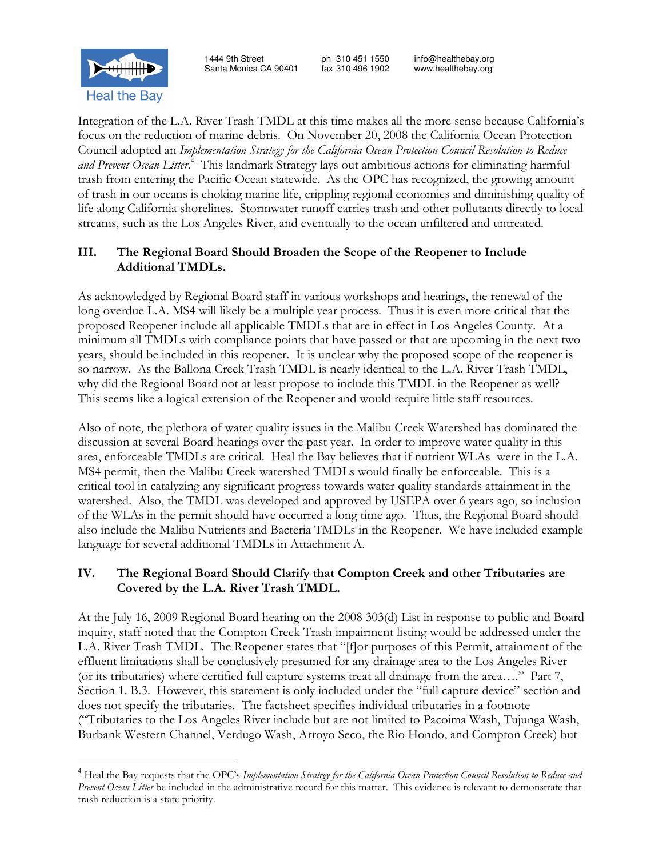Integration of the L.A. River Trash TMDL at this time makes all the more sense because California's focus on the reduction of marine debris. On November 20, 2008 the California Ocean Protection Council adopted an Implementation Strategy for the California Ocean Protection Council Resolution to Reduce and Prevent Ocean Litter.<sup>4</sup> This landmark Strategy lays out ambitious actions for eliminating harmful trash from entering the Pacific Ocean statewide. As the OPC has recognized, the growing amount of trash in our oceans is choking marine life, crippling regional economies and diminishing quality of life along California shorelines. Stormwater runoff carries trash and other pollutants directly to local streams, such as the Los Angeles River, and eventually to the ocean unfiltered and untreated.

## III. The Regional Board Should Broaden the Scope of the Reopener to Include Additional TMDLs.

As acknowledged by Regional Board staff in various workshops and hearings, the renewal of the long overdue L.A. MS4 will likely be a multiple year process. Thus it is even more critical that the proposed Reopener include all applicable TMDLs that are in effect in Los Angeles County. At a minimum all TMDLs with compliance points that have passed or that are upcoming in the next two years, should be included in this reopener. It is unclear why the proposed scope of the reopener is so narrow. As the Ballona Creek Trash TMDL is nearly identical to the L.A. River Trash TMDL, why did the Regional Board not at least propose to include this TMDL in the Reopener as well? This seems like a logical extension of the Reopener and would require little staff resources.

Also of note, the plethora of water quality issues in the Malibu Creek Watershed has dominated the discussion at several Board hearings over the past year. In order to improve water quality in this area, enforceable TMDLs are critical. Heal the Bay believes that if nutrient WLAs were in the L.A. MS4 permit, then the Malibu Creek watershed TMDLs would finally be enforceable. This is a critical tool in catalyzing any significant progress towards water quality standards attainment in the watershed. Also, the TMDL was developed and approved by USEPA over 6 years ago, so inclusion of the WLAs in the permit should have occurred a long time ago. Thus, the Regional Board should also include the Malibu Nutrients and Bacteria TMDLs in the Reopener. We have included example language for several additional TMDLs in Attachment A.

## IV. The Regional Board Should Clarify that Compton Creek and other Tributaries are Covered by the L.A. River Trash TMDL.

At the July 16, 2009 Regional Board hearing on the 2008 303(d) List in response to public and Board inquiry, staff noted that the Compton Creek Trash impairment listing would be addressed under the L.A. River Trash TMDL. The Reopener states that "[f]or purposes of this Permit, attainment of the effluent limitations shall be conclusively presumed for any drainage area to the Los Angeles River (or its tributaries) where certified full capture systems treat all drainage from the area…." Part 7, Section 1. B.3. However, this statement is only included under the "full capture device" section and does not specify the tributaries. The factsheet specifies individual tributaries in a footnote ("Tributaries to the Los Angeles River include but are not limited to Pacoima Wash, Tujunga Wash, Burbank Western Channel, Verdugo Wash, Arroyo Seco, the Rio Hondo, and Compton Creek) but



 $\overline{a}$ 

<sup>&</sup>lt;sup>4</sup> Heal the Bay requests that the OPC's Implementation Strategy for the California Ocean Protection Council Resolution to Reduce and Prevent Ocean Litter be included in the administrative record for this matter. This evidence is relevant to demonstrate that trash reduction is a state priority.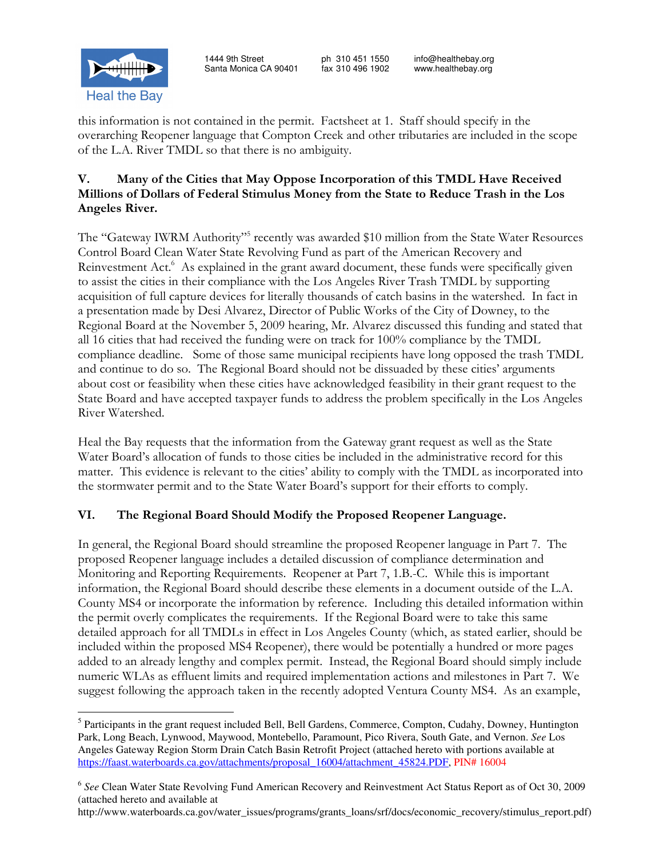

this information is not contained in the permit. Factsheet at 1. Staff should specify in the overarching Reopener language that Compton Creek and other tributaries are included in the scope of the L.A. River TMDL so that there is no ambiguity.

## V. Many of the Cities that May Oppose Incorporation of this TMDL Have Received Millions of Dollars of Federal Stimulus Money from the State to Reduce Trash in the Los Angeles River.

The "Gateway IWRM Authority"<sup>5</sup> recently was awarded \$10 million from the State Water Resources Control Board Clean Water State Revolving Fund as part of the American Recovery and Reinvestment Act.<sup>6</sup> As explained in the grant award document, these funds were specifically given to assist the cities in their compliance with the Los Angeles River Trash TMDL by supporting acquisition of full capture devices for literally thousands of catch basins in the watershed. In fact in a presentation made by Desi Alvarez, Director of Public Works of the City of Downey, to the Regional Board at the November 5, 2009 hearing, Mr. Alvarez discussed this funding and stated that all 16 cities that had received the funding were on track for 100% compliance by the TMDL compliance deadline. Some of those same municipal recipients have long opposed the trash TMDL and continue to do so. The Regional Board should not be dissuaded by these cities' arguments about cost or feasibility when these cities have acknowledged feasibility in their grant request to the State Board and have accepted taxpayer funds to address the problem specifically in the Los Angeles River Watershed.

Heal the Bay requests that the information from the Gateway grant request as well as the State Water Board's allocation of funds to those cities be included in the administrative record for this matter. This evidence is relevant to the cities' ability to comply with the TMDL as incorporated into the stormwater permit and to the State Water Board's support for their efforts to comply.

# VI. The Regional Board Should Modify the Proposed Reopener Language.

In general, the Regional Board should streamline the proposed Reopener language in Part 7. The proposed Reopener language includes a detailed discussion of compliance determination and Monitoring and Reporting Requirements. Reopener at Part 7, 1.B.-C. While this is important information, the Regional Board should describe these elements in a document outside of the L.A. County MS4 or incorporate the information by reference. Including this detailed information within the permit overly complicates the requirements. If the Regional Board were to take this same detailed approach for all TMDLs in effect in Los Angeles County (which, as stated earlier, should be included within the proposed MS4 Reopener), there would be potentially a hundred or more pages added to an already lengthy and complex permit. Instead, the Regional Board should simply include numeric WLAs as effluent limits and required implementation actions and milestones in Part 7. We suggest following the approach taken in the recently adopted Ventura County MS4. As an example,

http://www.waterboards.ca.gov/water\_issues/programs/grants\_loans/srf/docs/economic\_recovery/stimulus\_report.pdf)

 $\overline{a}$ <sup>5</sup> Participants in the grant request included Bell, Bell Gardens, Commerce, Compton, Cudahy, Downey, Huntington Park, Long Beach, Lynwood, Maywood, Montebello, Paramount, Pico Rivera, South Gate, and Vernon. *See* Los Angeles Gateway Region Storm Drain Catch Basin Retrofit Project (attached hereto with portions available at https://faast.waterboards.ca.gov/attachments/proposal\_16004/attachment\_45824.PDF, PIN# 16004

<sup>6</sup> *See* Clean Water State Revolving Fund American Recovery and Reinvestment Act Status Report as of Oct 30, 2009 (attached hereto and available at